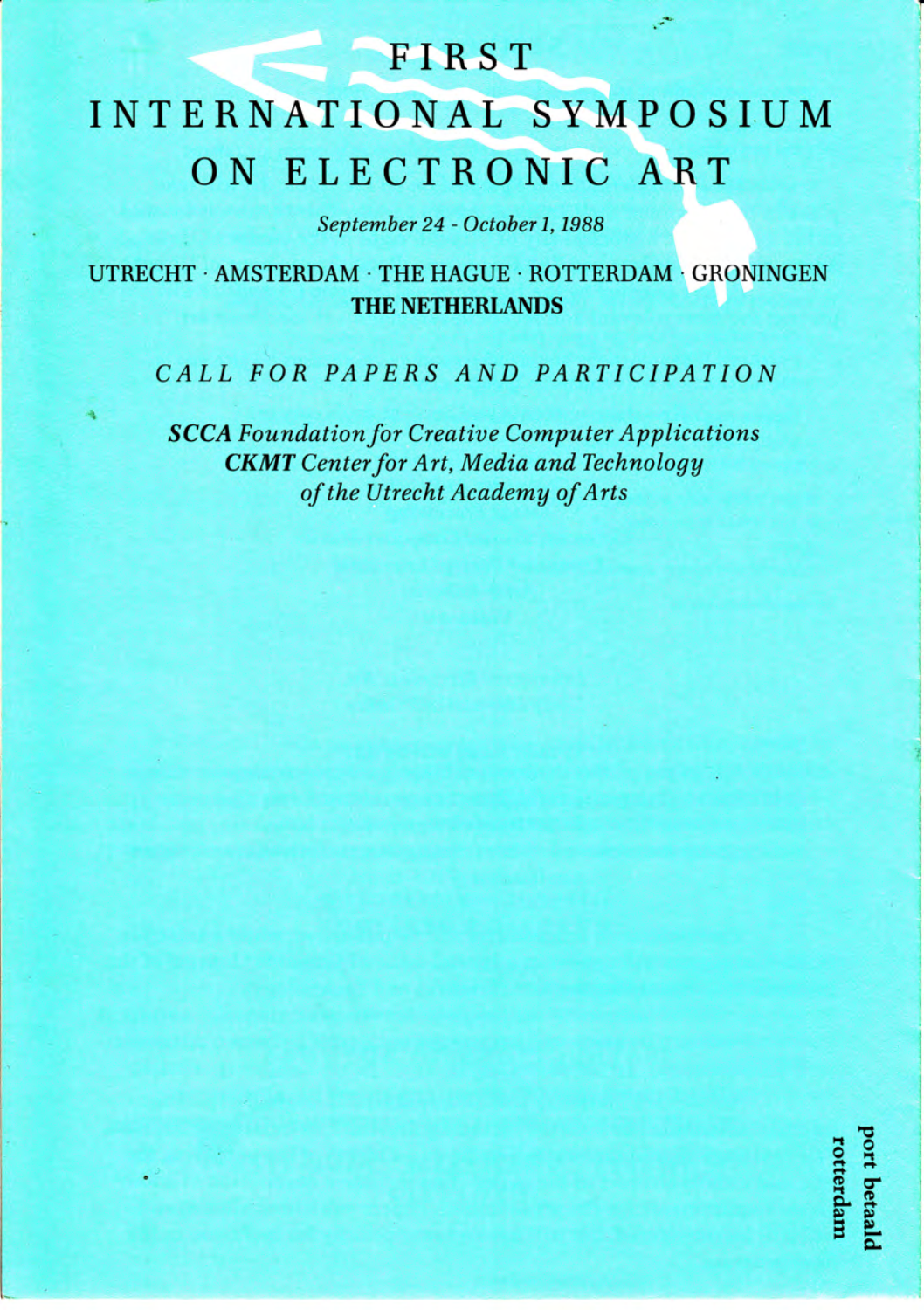## **FIRST**

# **INTERNATIONAL SYMPOSIUM** ON ELECTRONIC ART

September 24 - October 1, 1988

UTRECHT · AMSTERDAM · THE HAGUE · ROTTERDAM · GRONINGEN **THE NETHERLANDS** 

### CALL FOR PAPERS AND PARTICIPATION

**SCCA** Foundation for Creative Computer Applications **CKMT** Center for Art, Media and Technology of the Utrecht Academy of Arts

port betaald rotterdam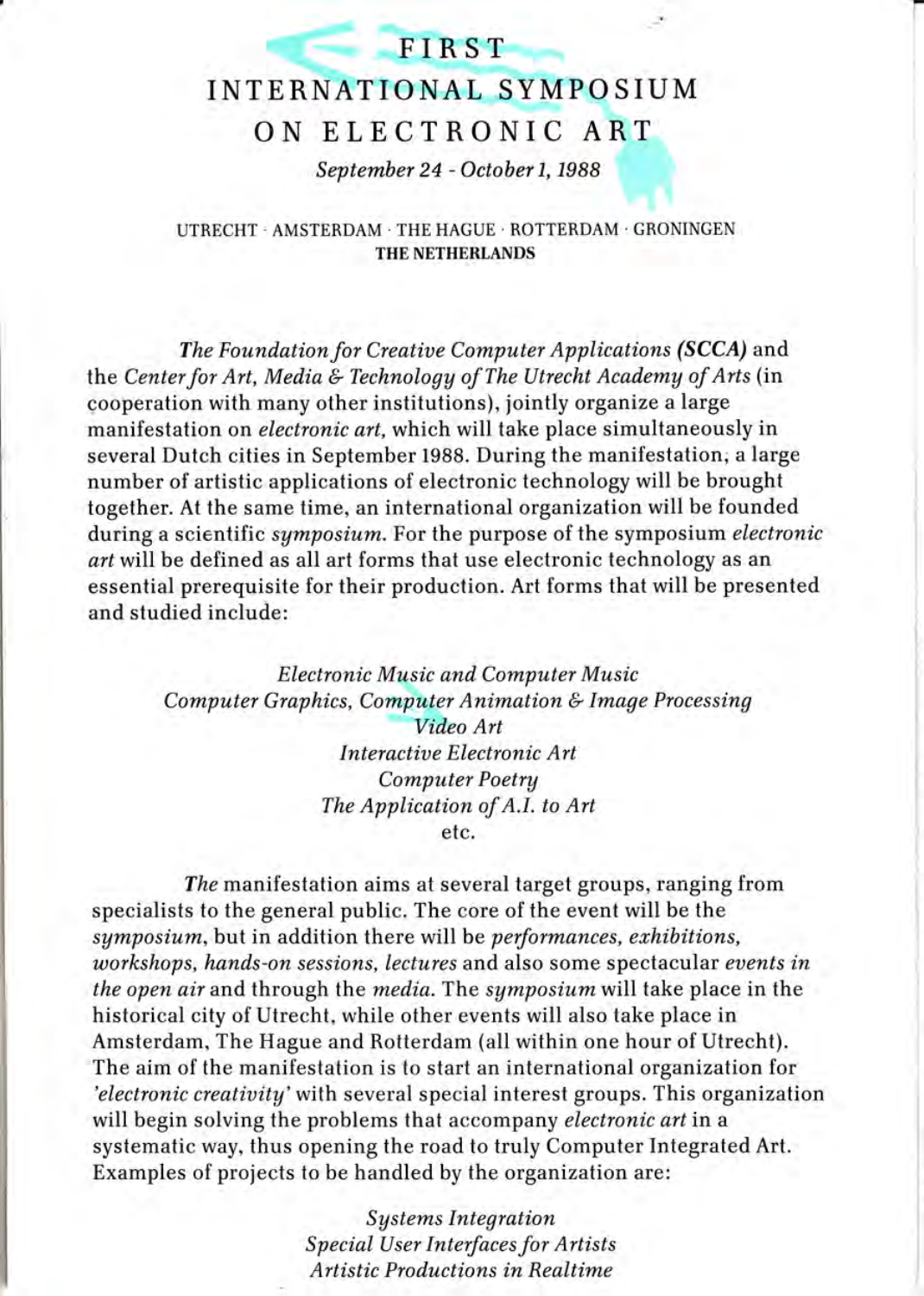### **FIRST**

# INTERNATIONAL SYMPO SIUM ON ELECTRONIC ART

September 24 - October 1, 1988

UTRECHT . AMSTERDAM . THE HAGUE . ROTTERDAM . GRONINGEN THE NETHERLANDS

The Foundation for Creative Computer Applications (SCCA) and the Center for Art, Media & Technology of The Utrecht Academy of Arts (in cooperation with many other institutions), jointly organize a large manifestation on electronic art, which will take place simultaneously in several Dutch cities in September 1988. During the manifestation; a large number of artistic applications of electronic technology will be brought together. At the same time, an international organization will be founded during a scientific symposium. For the purpose of the symposium electronic art will be defined as all art forms that use electronic technology as an essential prerequisite for their production. Art forms that will be presented and studied include:

> Electronic Music and Computer Music Computer Graphics, Computer Animation & Image Processing Video Art Interactive Electronic Art Computer Poetry The Application of A.I. to Art

> > etc.

The manifestation aims at several target groups, ranging from specialists to the general public. The core of the event will be the symposium, but in addition there will be *performances*, exhibitions, workshops, hands-on sessions, lectures and also some spectacular events in the open air and through the media. The symposium will take place in the historical city of Utrecht, while other events will also take place in Amsterdam, The Hague and Rotterdam (all within one hour of Utrecht). The aim of the manifestation is lo start an international organization for 'electronic creativity' with several special interest groups. This organization will begin solving the problems that accompany *electronic art* in a systematic way, thus opening the road to truly Computer Integrated Art. Examples of projects to be handled by the organization are:

> Systems Integration Special User Interfaces for Artists Artistic Productions in Realtime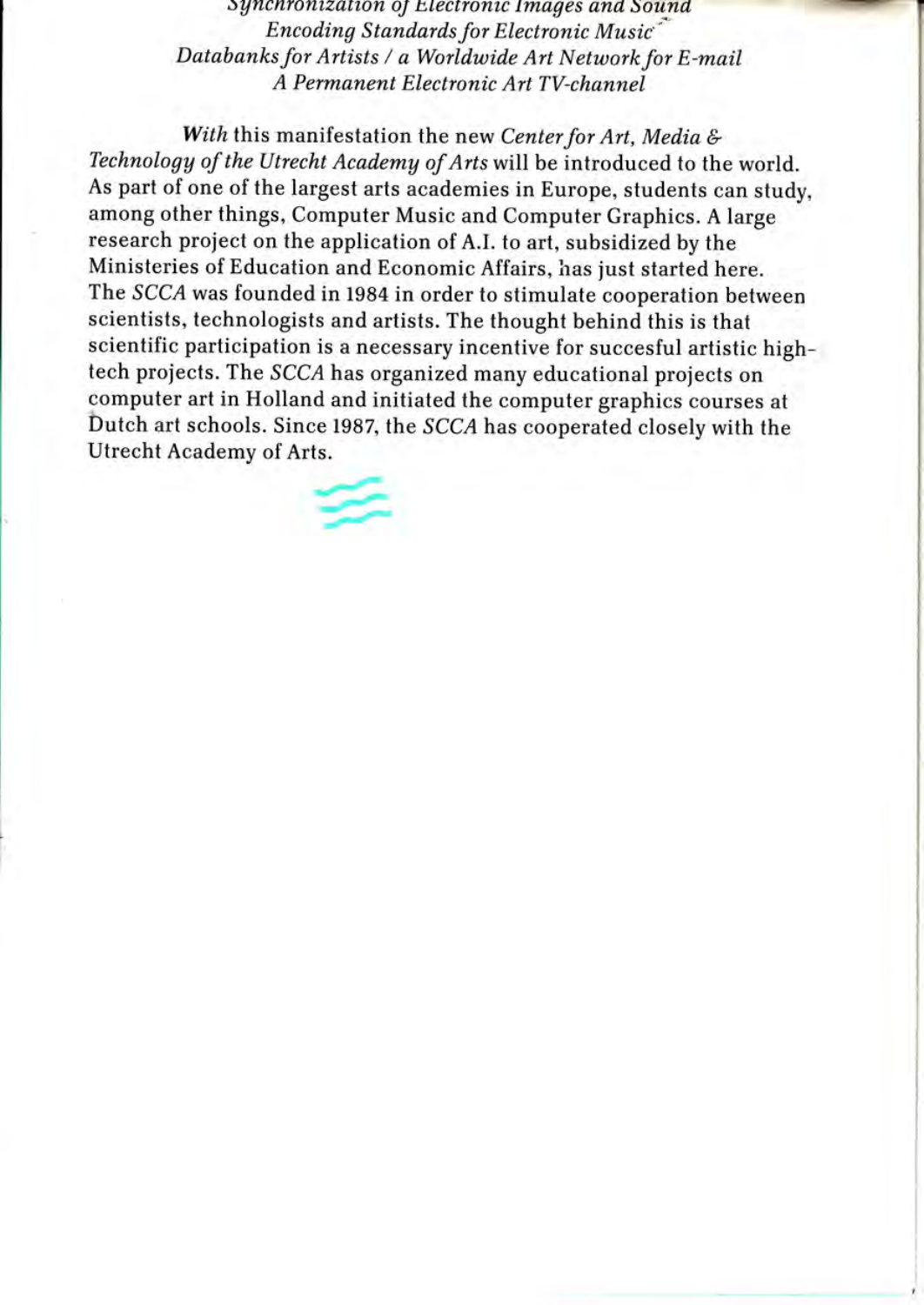Synchronization of Electronic Images and Sound Encoding Standards for Electronic Music Databanks for Artists / a Worldwide Art Network for E-mail A Permanent Electronic Art TV-channel

With this manifestation the new Center for Art, Media & Technology of the Utrecht Academy of Arts will be introduced to the world. As part of one of the largest arts academies in Europe, students can study. among other things, Computer Music and Computer Graphics. A large research project on the application of A.I. to art, subsidized by the Ministeries of Education and Economic Affairs, has just started here. The SCCA was founded in 1984 in order to stimulate cooperation between scientists, technologists and artists. The thought behind this is that scientific participation is a necessary incentive for succesful artistic hightech projects. The SCCA has organized many educational projects on computer art in Holland and initiated the computer graphics courses at Dutch art schools. Since 1987, the SCCA has cooperated closely with the Utrecht Academy of Arts.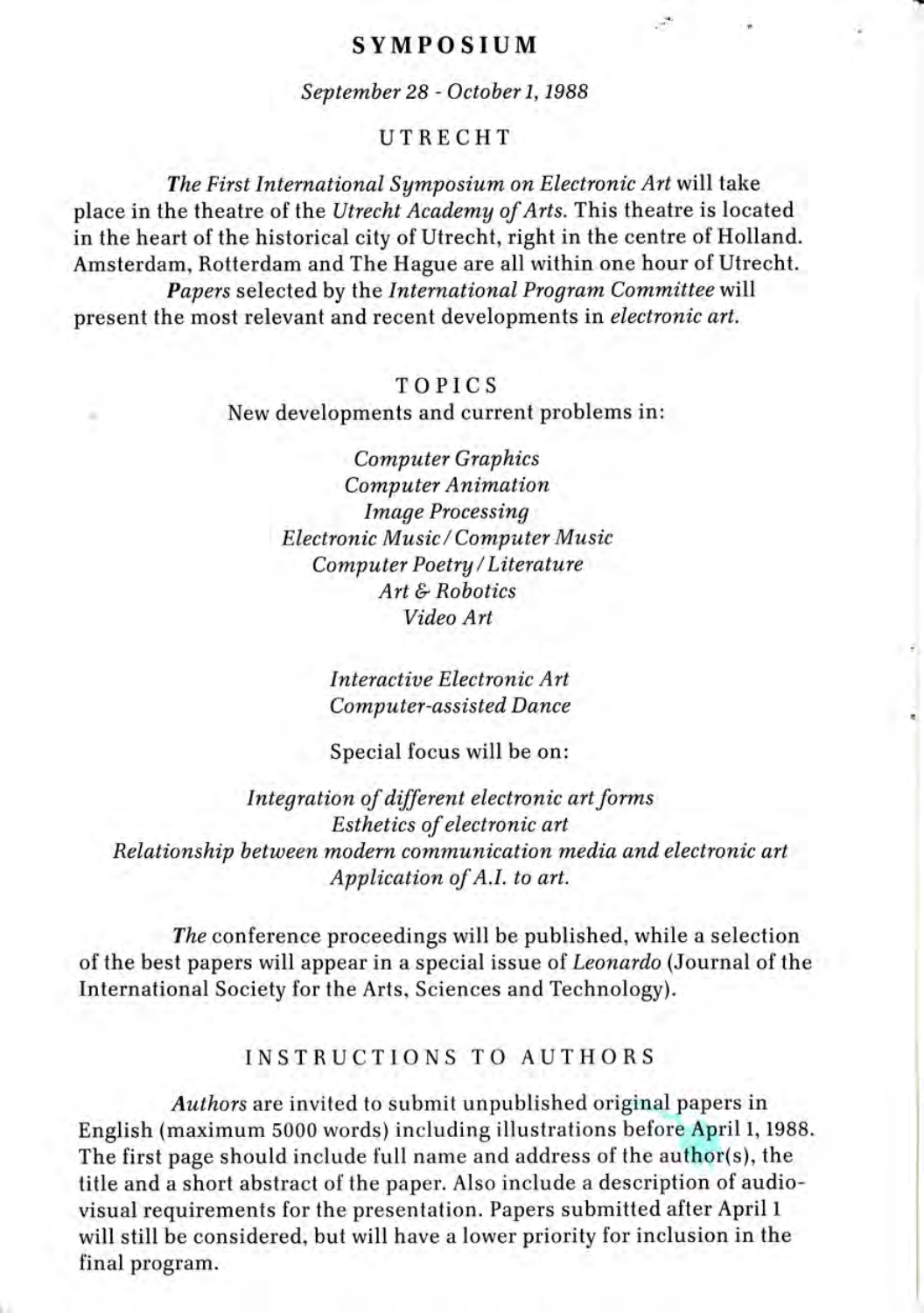#### **SYMPOSIUM**

September 28 - October 1, 1988

#### UTRECHT

The First International Symposium on Electronic Art will take place in the theatre of the Utrecht Academy of Arts. This theatre is located in the heart of the historical city of Utrecht, right in the centre of Holland. Amsterdam, Rotterdam and The Hague are all within one hour of Utrecht. Papers selected by the International Program Committee will present the most relevant and recent developments in electronic art.

#### TOPICS

New developments and current problems in:

**Computer Graphics Computer Animation Image Processing Electronic Music/Computer Music** Computer Poetry/Literature  $Art & Robotics$ Video Art

> Interactive Electronic Art **Computer-assisted Dance**

Special focus will be on:

Integration of different electronic art forms Esthetics of electronic art Relationship between modern communication media and electronic art Application of A.I. to art.

The conference proceedings will be published, while a selection of the best papers will appear in a special issue of Leonardo (Journal of the International Society for the Arts, Sciences and Technology).

#### **INSTRUCTIONS TO AUTHORS**

Authors are invited to submit unpublished original papers in English (maximum 5000 words) including illustrations before April 1, 1988. The first page should include full name and address of the author(s), the title and a short abstract of the paper. Also include a description of audiovisual requirements for the presentation. Papers submitted after April 1 will still be considered, but will have a lower priority for inclusion in the final program.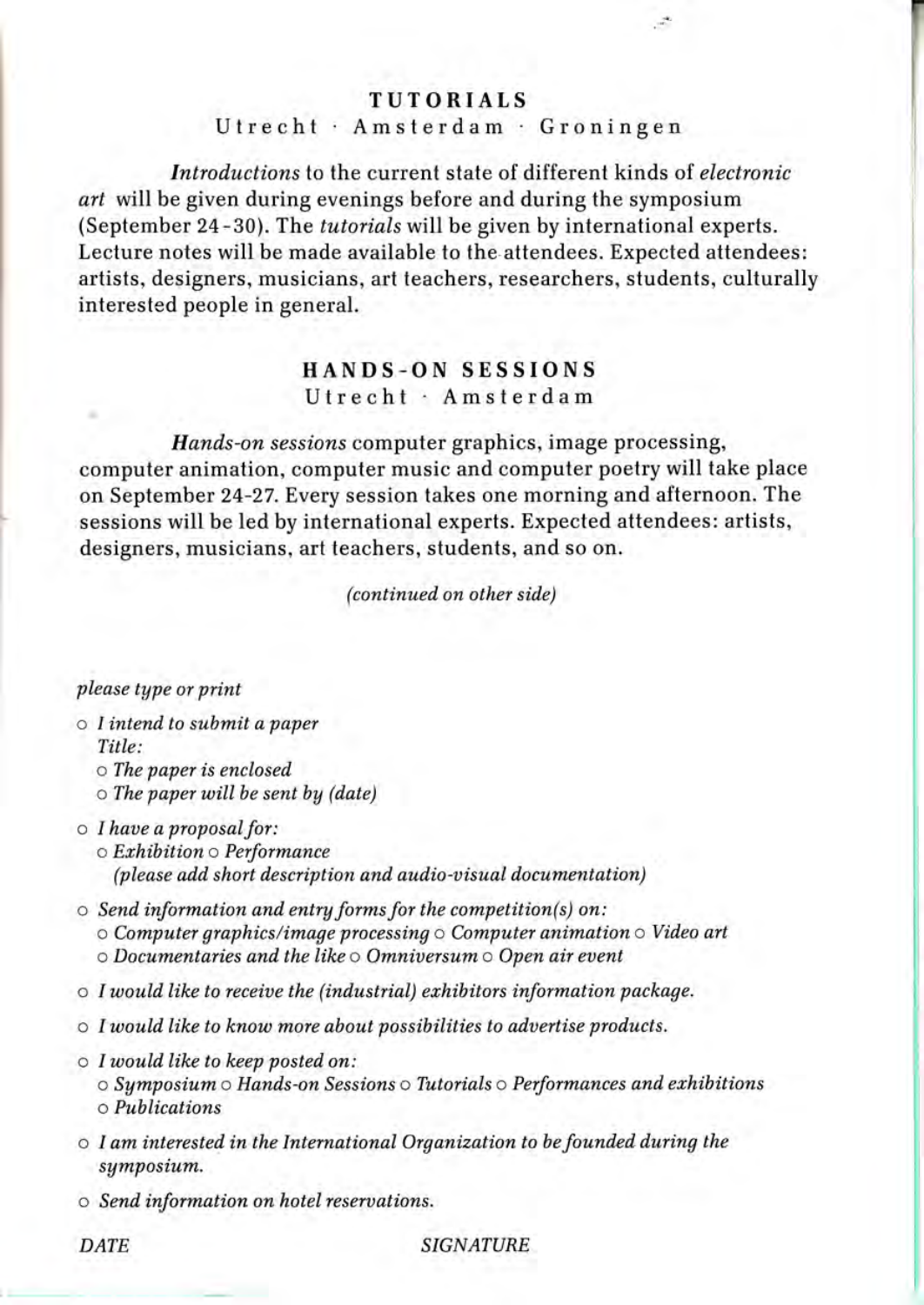#### TUTORIALS

 $\mathcal{L}$ 

#### Utrecht · Amsterdam · Groningen

Introductions to the current state of different kinds of electronic art will be given during evenings before and during the symposium (September 24-30). The tutorials will be given by international experts. Lecture notes will be made available to the attendees. Expected attendees: artists, designers, musicians, art teachers, researchers, students, culturally interested people in general.

#### IIANDS-ON SESSIONS Utrecht · Amsterdam

Hands-on sessions computer graphics, image processing, computer animation, computer music and computer poetry will take place on September 24-27. Every session takes one morning and afternoon. The sessions will be led by international experts. Expected attendees: artists, designers, musicians, art teachers, students, and so on.

(continued on other side)

#### please type or print

- o I intend to submit a paper Title:
	- o The paper is enclosed
	- $\circ$  The paper will be sent by (date)
- $\circ$  I have a proposal for: o Erhibition o Performance (please add short description and audio-visual documentation)
- o Send information and entry forms for the competition(s) on:  $\circ$  Computer graphics/image processing  $\circ$  Computer animation  $\circ$  Video art  $\circ$  Documentaries and the like  $\circ$  Omniversum  $\circ$  Open air event
- $\circ$  I would like to receive the (industrial) exhibitors information package.
- $\circ$  I would like to know more about possibilities to advertise products.
- $\circ$  I would like to keep posted on: o Symposium o Hands-on Sessions o Tutorials o Performances and erhibitions o Publications
- $\circ$  I am interested in the International Organization to be founded during the symposium.
- o Send information on hotel reseruations.

DATE SIGNATURE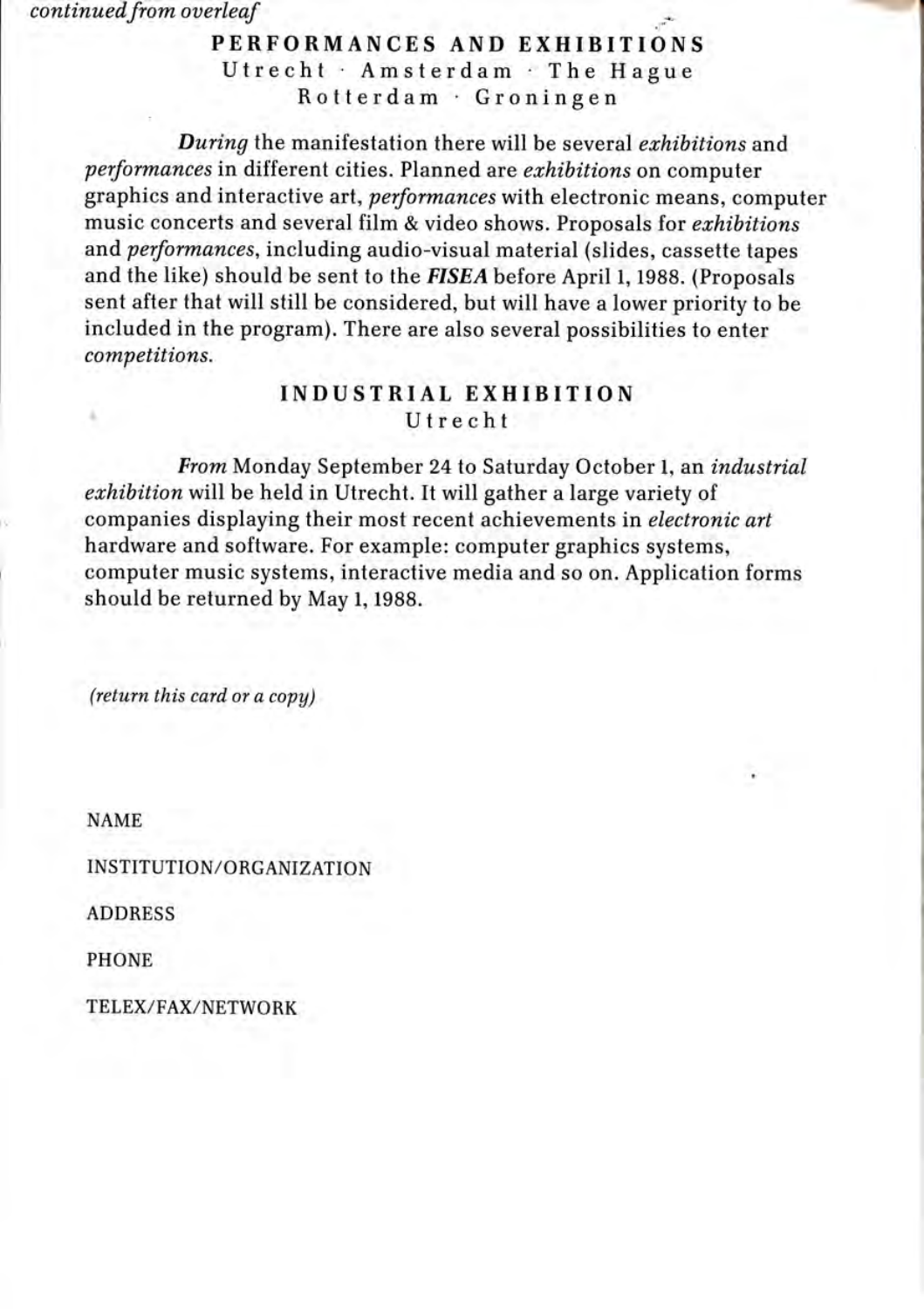continued from overleaf

## .;- PERFORMANCES AND EXHIBITIONS Utrecht Amsterdam The Hague Rotterdam Groningen

:-:1:1-]!%ls'E

During the manifestation there will be several exhibitions and performances in different cities. Planned are exhibitions on computer graphics and interactive art, performances with electronic means, computer music concerts and several film & video shows. Proposals for exhibitions and performances, including audio-visual material (slides, cassette tapes and the like) should be sent to the FISEA before April l, 1988. (Proposals sent after that will still be considered, but will have a lower priority to be included in the program). There are also several possibilities to enter competitions.

# INDUSTRIAL EXHIBITION<br>Utrecht

From Monday September 24 to Saturday October l, an industrial erhibition will be held in Utrecht. It will gather a large variety of companies displaying their most recent achievements in *electronic art* hardware and software. For example: computer graphics systems, computer music systems, interactive media and so on. Application forms should be returned by May 1, 1988.

 $(return this card or a copy)$ 

NAME

INSTITUTION/ORGANIZATION

ADDRESS

PHONE

TELEX/FAX/NETWORK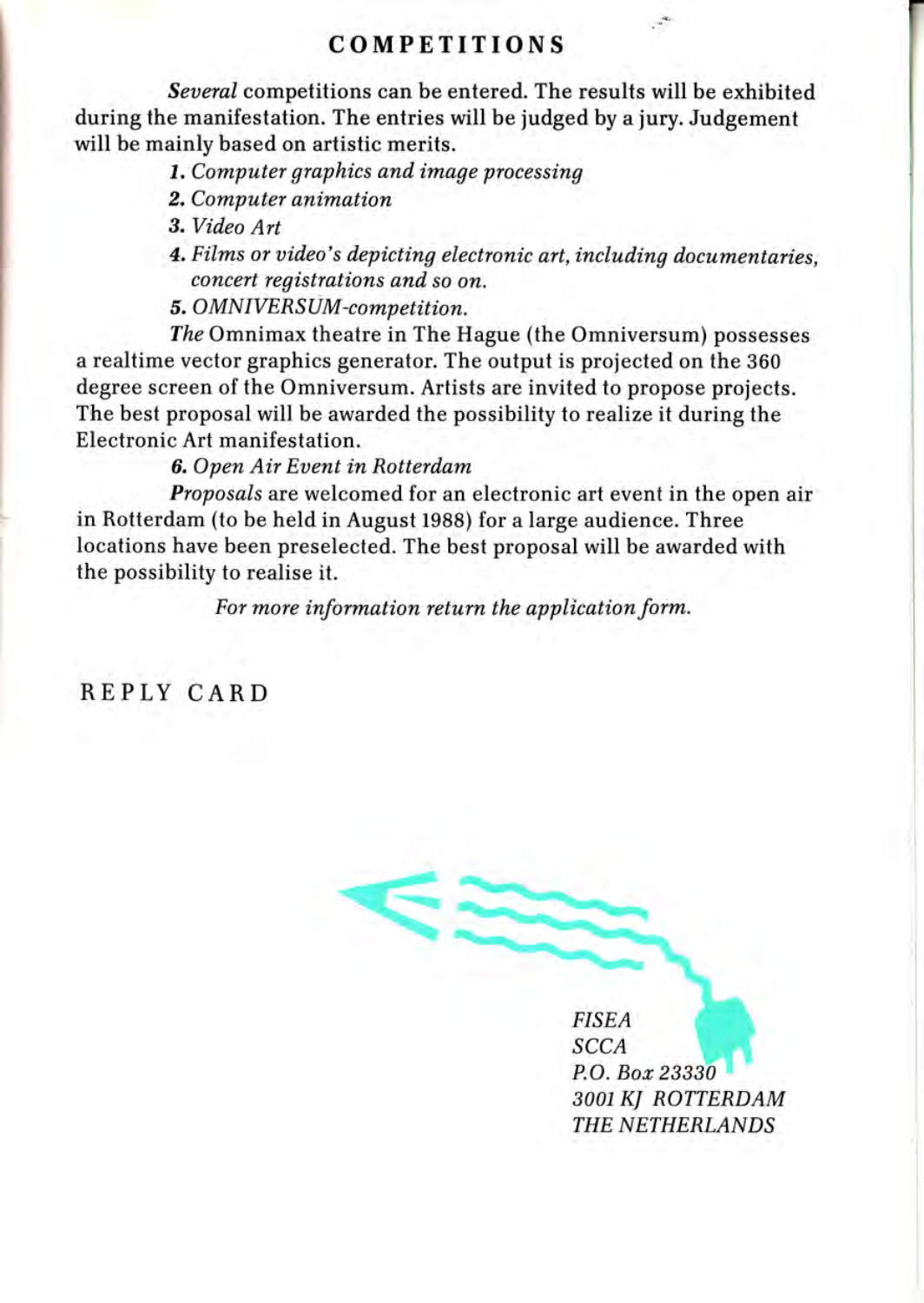#### COMPETITIONS

Several competitions can be entered. The results will be exhibited during the manifestation. The entries will be judged by a jury. Judgement will be mainly based on artistic merits.

7. Computer graphics and image processing

- 2. Computer animation
- 3. Video Art
- 4. Films or video's depicting electronic art, including documentaries, concert registrations and so on.

 $\mathcal{A}$ 

5. OMNIVERSUM-competition.

The Omnimax theatre in The Hague (the Omniversum) possesses a realtime vector graphics generator. The output is projected on the 360 degree screen of the Omniversum. Artists are invited to propose projects. The best proposal will be awarded the possibility to realize it during the Electronic Art manifestation.

6. Open Air Euent in Rotterdam

Proposals are welcomed for an electronic art event in the open air in Rotterdam (to be held in August 1988) for a large audience. Three locations have been preselected. The best proposal will be awarded with the possibility to realise it.

For more information return the application form.

REPLY CARD

**FISEA SCCA** P.O. Bor 23330 3oo1 KJ ROTTERDAM THE NETHERLANDS